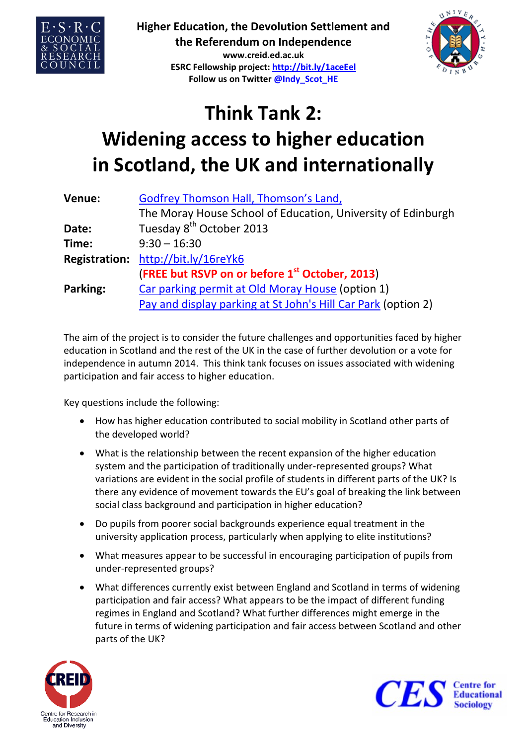

**Higher Education, the Devolution Settlement and the Referendum on Independence**

**www.creid.ed.ac.uk ESRC Fellowship project: http://bit.ly/1aceEel Follow us on Twitter @Indy\_Scot\_HE**



## **Think Tank 2: Widening access to higher education in Scotland, the UK and internationally**

| Venue:   | Godfrey Thomson Hall, Thomson's Land,                         |
|----------|---------------------------------------------------------------|
|          | The Moray House School of Education, University of Edinburgh  |
| Date:    | Tuesday 8 <sup>th</sup> October 2013                          |
| Time:    | $9:30 - 16:30$                                                |
|          | Registration: http://bit.ly/16reYk6                           |
|          | (FREE but RSVP on or before 1 <sup>st</sup> October, 2013)    |
| Parking: | Car parking permit at Old Moray House (option 1)              |
|          | Pay and display parking at St John's Hill Car Park (option 2) |

The aim of the project is to consider the future challenges and opportunities faced by higher education in Scotland and the rest of the UK in the case of further devolution or a vote for independence in autumn 2014. This think tank focuses on issues associated with widening participation and fair access to higher education.

Key questions include the following:

- How has higher education contributed to social mobility in Scotland other parts of the developed world?
- What is the relationship between the recent expansion of the higher education system and the participation of traditionally under-represented groups? What variations are evident in the social profile of students in different parts of the UK? Is there any evidence of movement towards the EU's goal of breaking the link between social class background and participation in higher education?
- Do pupils from poorer social backgrounds experience equal treatment in the university application process, particularly when applying to elite institutions?
- What measures appear to be successful in encouraging participation of pupils from under-represented groups?
- What differences currently exist between England and Scotland in terms of widening participation and fair access? What appears to be the impact of different funding regimes in England and Scotland? What further differences might emerge in the future in terms of widening participation and fair access between Scotland and other parts of the UK?